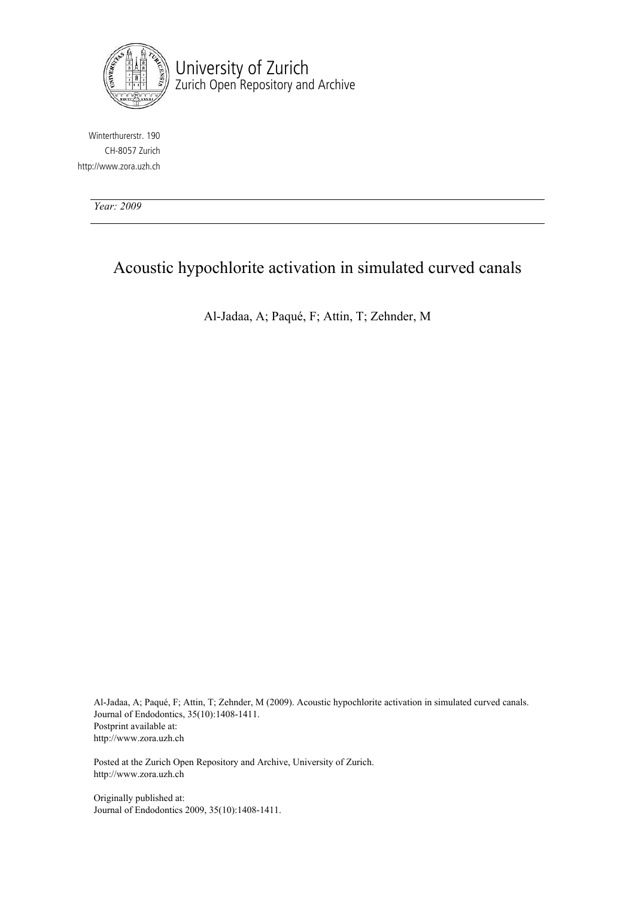

Winterthurerstr. 190 CH-8057 Zurich http://www.zora.uzh.ch

*Year: 2009*

# Acoustic hypochlorite activation in simulated curved canals

Al-Jadaa, A; Paqué, F; Attin, T; Zehnder, M

Al-Jadaa, A; Paqué, F; Attin, T; Zehnder, M (2009). Acoustic hypochlorite activation in simulated curved canals. Journal of Endodontics, 35(10):1408-1411. Postprint available at: http://www.zora.uzh.ch

Posted at the Zurich Open Repository and Archive, University of Zurich. http://www.zora.uzh.ch

Originally published at: Journal of Endodontics 2009, 35(10):1408-1411.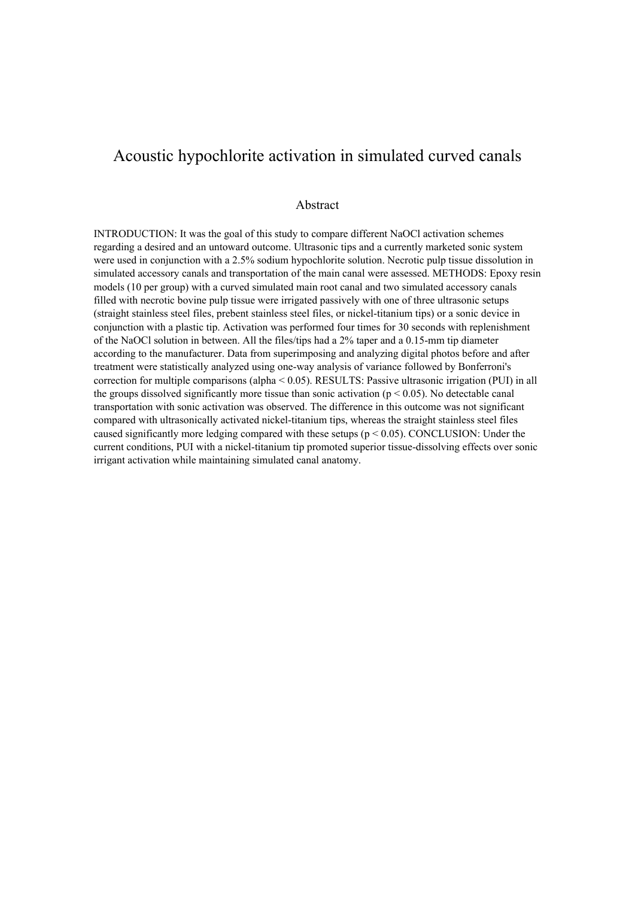## Acoustic hypochlorite activation in simulated curved canals

#### Abstract

INTRODUCTION: It was the goal of this study to compare different NaOCl activation schemes regarding a desired and an untoward outcome. Ultrasonic tips and a currently marketed sonic system were used in conjunction with a 2.5% sodium hypochlorite solution. Necrotic pulp tissue dissolution in simulated accessory canals and transportation of the main canal were assessed. METHODS: Epoxy resin models (10 per group) with a curved simulated main root canal and two simulated accessory canals filled with necrotic bovine pulp tissue were irrigated passively with one of three ultrasonic setups (straight stainless steel files, prebent stainless steel files, or nickel-titanium tips) or a sonic device in conjunction with a plastic tip. Activation was performed four times for 30 seconds with replenishment of the NaOCl solution in between. All the files/tips had a 2% taper and a 0.15-mm tip diameter according to the manufacturer. Data from superimposing and analyzing digital photos before and after treatment were statistically analyzed using one-way analysis of variance followed by Bonferroni's correction for multiple comparisons (alpha < 0.05). RESULTS: Passive ultrasonic irrigation (PUI) in all the groups dissolved significantly more tissue than sonic activation ( $p < 0.05$ ). No detectable canal transportation with sonic activation was observed. The difference in this outcome was not significant compared with ultrasonically activated nickel-titanium tips, whereas the straight stainless steel files caused significantly more ledging compared with these setups ( $p < 0.05$ ). CONCLUSION: Under the current conditions, PUI with a nickel-titanium tip promoted superior tissue-dissolving effects over sonic irrigant activation while maintaining simulated canal anatomy.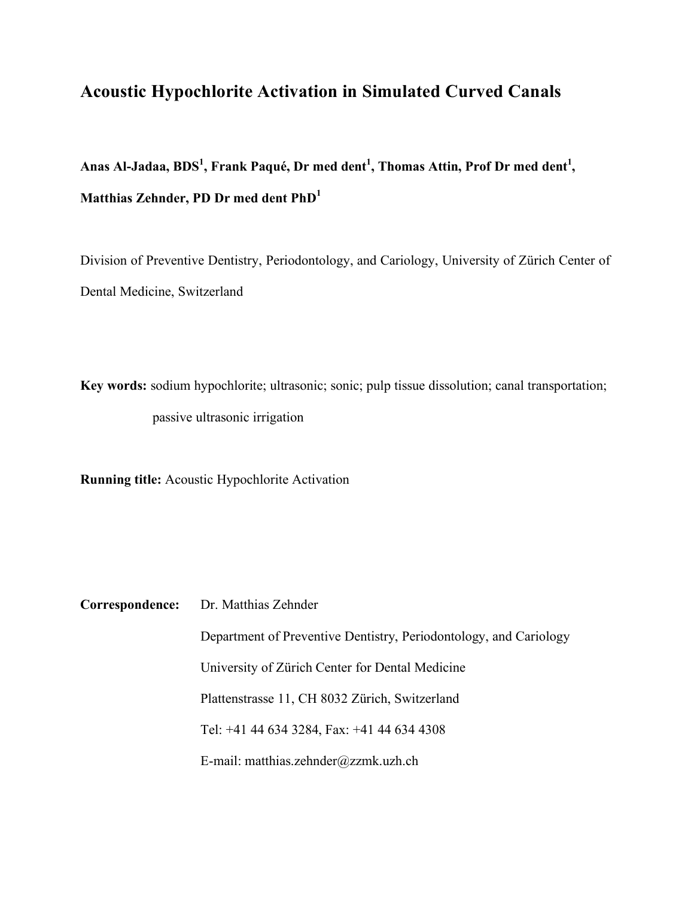## **Acoustic Hypochlorite Activation in Simulated Curved Canals**

**Anas Al-Jadaa, BDS<sup>1</sup> , Frank Paqué, Dr med dent<sup>1</sup> , Thomas Attin, Prof Dr med dent<sup>1</sup> , Matthias Zehnder, PD Dr med dent PhD<sup>1</sup>**

Division of Preventive Dentistry, Periodontology, and Cariology, University of Zürich Center of Dental Medicine, Switzerland

**Key words:** sodium hypochlorite; ultrasonic; sonic; pulp tissue dissolution; canal transportation; passive ultrasonic irrigation

**Running title:** Acoustic Hypochlorite Activation

**Correspondence:** Dr. Matthias Zehnder Department of Preventive Dentistry, Periodontology, and Cariology University of Zürich Center for Dental Medicine Plattenstrasse 11, CH 8032 Zürich, Switzerland Tel: +41 44 634 3284, Fax: +41 44 634 4308 E-mail: matthias.zehnder@zzmk.uzh.ch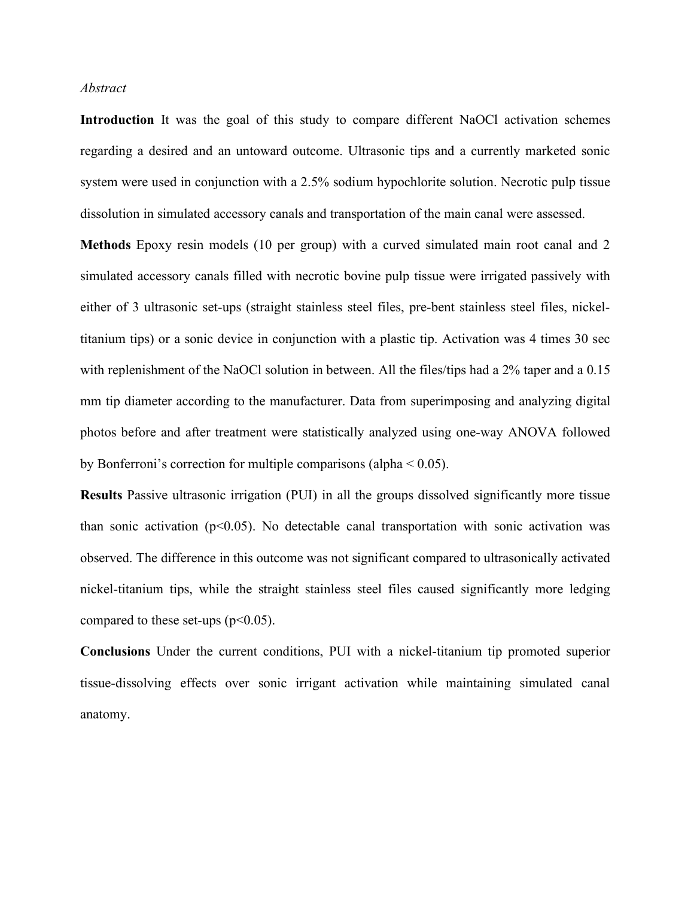#### *Abstract*

Introduction It was the goal of this study to compare different NaOCl activation schemes regarding a desired and an untoward outcome. Ultrasonic tips and a currently marketed sonic system were used in conjunction with a 2.5% sodium hypochlorite solution. Necrotic pulp tissue dissolution in simulated accessory canals and transportation of the main canal were assessed.

**Methods** Epoxy resin models (10 per group) with a curved simulated main root canal and 2 simulated accessory canals filled with necrotic bovine pulp tissue were irrigated passively with either of 3 ultrasonic set-ups (straight stainless steel files, pre-bent stainless steel files, nickeltitanium tips) or a sonic device in conjunction with a plastic tip. Activation was 4 times 30 sec with replenishment of the NaOCl solution in between. All the files/tips had a 2% taper and a 0.15 mm tip diameter according to the manufacturer. Data from superimposing and analyzing digital photos before and after treatment were statistically analyzed using one-way ANOVA followed by Bonferroni's correction for multiple comparisons (alpha  $< 0.05$ ).

**Results** Passive ultrasonic irrigation (PUI) in all the groups dissolved significantly more tissue than sonic activation  $(p<0.05)$ . No detectable canal transportation with sonic activation was observed. The difference in this outcome was not significant compared to ultrasonically activated nickel-titanium tips, while the straight stainless steel files caused significantly more ledging compared to these set-ups  $(p<0.05)$ .

**Conclusions** Under the current conditions, PUI with a nickel-titanium tip promoted superior tissue-dissolving effects over sonic irrigant activation while maintaining simulated canal anatomy.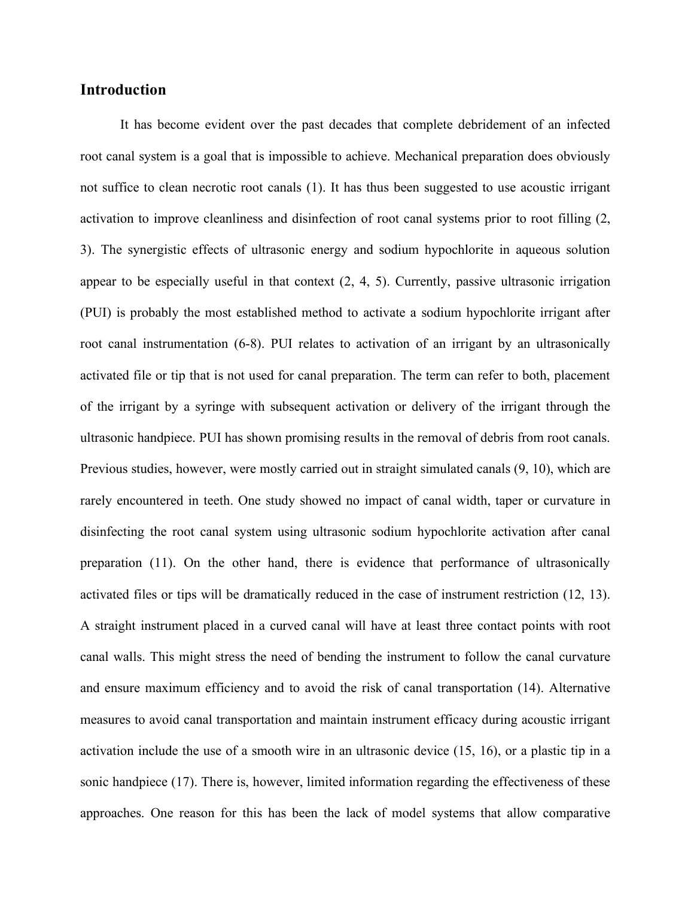## **Introduction**

It has become evident over the past decades that complete debridement of an infected root canal system is a goal that is impossible to achieve. Mechanical preparation does obviously not suffice to clean necrotic root canals (1). It has thus been suggested to use acoustic irrigant activation to improve cleanliness and disinfection of root canal systems prior to root filling (2, 3). The synergistic effects of ultrasonic energy and sodium hypochlorite in aqueous solution appear to be especially useful in that context (2, 4, 5). Currently, passive ultrasonic irrigation (PUI) is probably the most established method to activate a sodium hypochlorite irrigant after root canal instrumentation (6-8). PUI relates to activation of an irrigant by an ultrasonically activated file or tip that is not used for canal preparation. The term can refer to both, placement of the irrigant by a syringe with subsequent activation or delivery of the irrigant through the ultrasonic handpiece. PUI has shown promising results in the removal of debris from root canals. Previous studies, however, were mostly carried out in straight simulated canals (9, 10), which are rarely encountered in teeth. One study showed no impact of canal width, taper or curvature in disinfecting the root canal system using ultrasonic sodium hypochlorite activation after canal preparation (11). On the other hand, there is evidence that performance of ultrasonically activated files or tips will be dramatically reduced in the case of instrument restriction (12, 13). A straight instrument placed in a curved canal will have at least three contact points with root canal walls. This might stress the need of bending the instrument to follow the canal curvature and ensure maximum efficiency and to avoid the risk of canal transportation (14). Alternative measures to avoid canal transportation and maintain instrument efficacy during acoustic irrigant activation include the use of a smooth wire in an ultrasonic device (15, 16), or a plastic tip in a sonic handpiece (17). There is, however, limited information regarding the effectiveness of these approaches. One reason for this has been the lack of model systems that allow comparative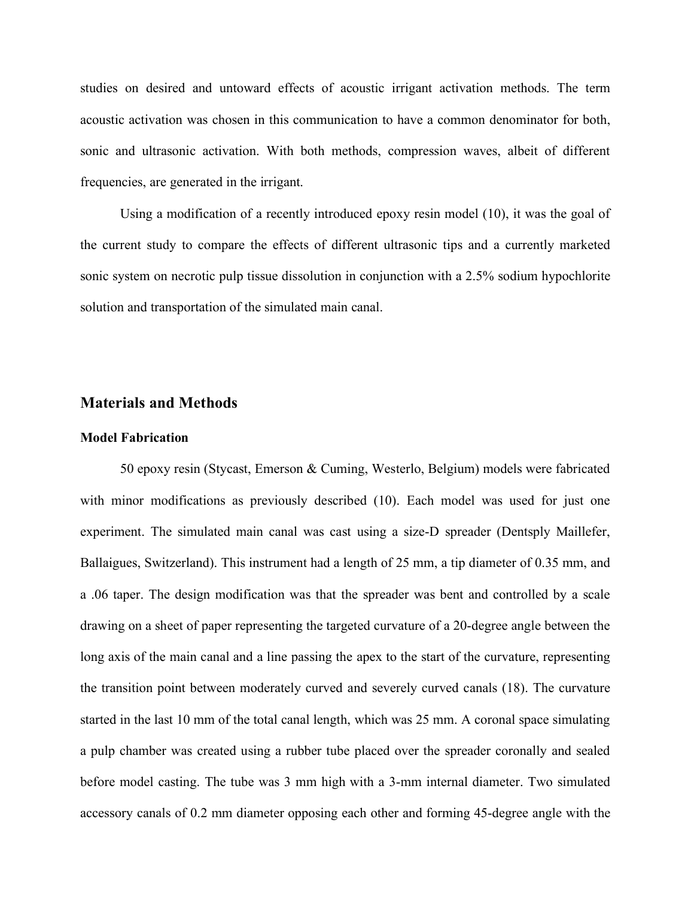studies on desired and untoward effects of acoustic irrigant activation methods. The term acoustic activation was chosen in this communication to have a common denominator for both, sonic and ultrasonic activation. With both methods, compression waves, albeit of different frequencies, are generated in the irrigant.

Using a modification of a recently introduced epoxy resin model (10), it was the goal of the current study to compare the effects of different ultrasonic tips and a currently marketed sonic system on necrotic pulp tissue dissolution in conjunction with a 2.5% sodium hypochlorite solution and transportation of the simulated main canal.

#### **Materials and Methods**

#### **Model Fabrication**

50 epoxy resin (Stycast, Emerson & Cuming, Westerlo, Belgium) models were fabricated with minor modifications as previously described (10). Each model was used for just one experiment. The simulated main canal was cast using a size-D spreader (Dentsply Maillefer, Ballaigues, Switzerland). This instrument had a length of 25 mm, a tip diameter of 0.35 mm, and a .06 taper. The design modification was that the spreader was bent and controlled by a scale drawing on a sheet of paper representing the targeted curvature of a 20-degree angle between the long axis of the main canal and a line passing the apex to the start of the curvature, representing the transition point between moderately curved and severely curved canals (18). The curvature started in the last 10 mm of the total canal length, which was 25 mm. A coronal space simulating a pulp chamber was created using a rubber tube placed over the spreader coronally and sealed before model casting. The tube was 3 mm high with a 3-mm internal diameter. Two simulated accessory canals of 0.2 mm diameter opposing each other and forming 45-degree angle with the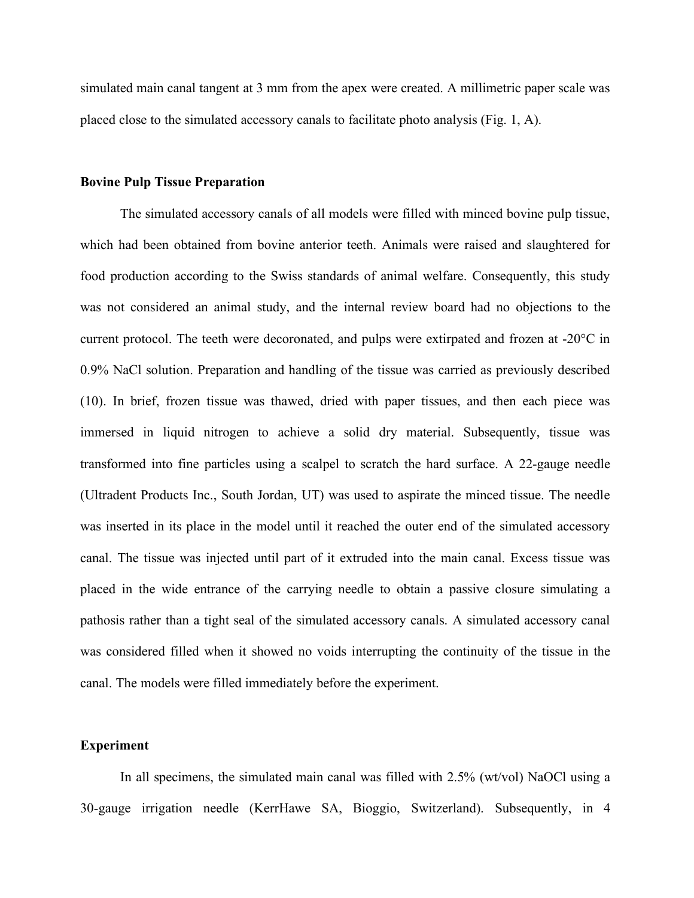simulated main canal tangent at 3 mm from the apex were created. A millimetric paper scale was placed close to the simulated accessory canals to facilitate photo analysis (Fig. 1, A).

#### **Bovine Pulp Tissue Preparation**

The simulated accessory canals of all models were filled with minced bovine pulp tissue, which had been obtained from bovine anterior teeth. Animals were raised and slaughtered for food production according to the Swiss standards of animal welfare. Consequently, this study was not considered an animal study, and the internal review board had no objections to the current protocol. The teeth were decoronated, and pulps were extirpated and frozen at -20°C in 0.9% NaCl solution. Preparation and handling of the tissue was carried as previously described (10). In brief, frozen tissue was thawed, dried with paper tissues, and then each piece was immersed in liquid nitrogen to achieve a solid dry material. Subsequently, tissue was transformed into fine particles using a scalpel to scratch the hard surface. A 22-gauge needle (Ultradent Products Inc., South Jordan, UT) was used to aspirate the minced tissue. The needle was inserted in its place in the model until it reached the outer end of the simulated accessory canal. The tissue was injected until part of it extruded into the main canal. Excess tissue was placed in the wide entrance of the carrying needle to obtain a passive closure simulating a pathosis rather than a tight seal of the simulated accessory canals. A simulated accessory canal was considered filled when it showed no voids interrupting the continuity of the tissue in the canal. The models were filled immediately before the experiment.

#### **Experiment**

In all specimens, the simulated main canal was filled with 2.5% (wt/vol) NaOCl using a 30-gauge irrigation needle (KerrHawe SA, Bioggio, Switzerland). Subsequently, in 4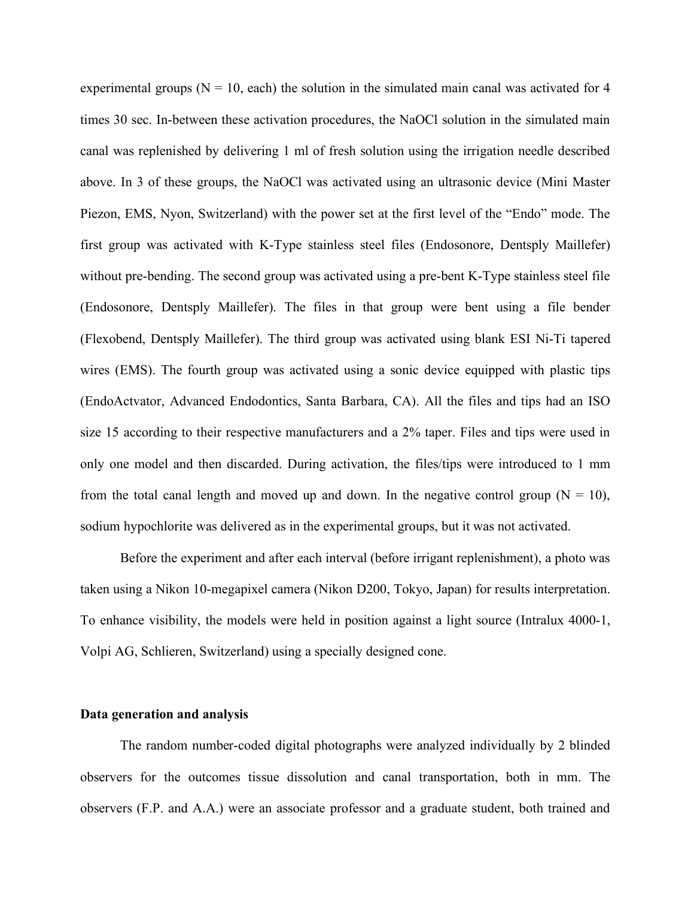experimental groups ( $N = 10$ , each) the solution in the simulated main canal was activated for 4 times 30 sec. In-between these activation procedures, the NaOCl solution in the simulated main canal was replenished by delivering 1 ml of fresh solution using the irrigation needle described above. In 3 of these groups, the NaOCl was activated using an ultrasonic device (Mini Master Piezon, EMS, Nyon, Switzerland) with the power set at the first level of the "Endo" mode. The first group was activated with K-Type stainless steel files (Endosonore, Dentsply Maillefer) without pre-bending. The second group was activated using a pre-bent K-Type stainless steel file (Endosonore, Dentsply Maillefer). The files in that group were bent using a file bender (Flexobend, Dentsply Maillefer). The third group was activated using blank ESI Ni-Ti tapered wires (EMS). The fourth group was activated using a sonic device equipped with plastic tips (EndoActvator, Advanced Endodontics, Santa Barbara, CA). All the files and tips had an ISO size 15 according to their respective manufacturers and a 2% taper. Files and tips were used in only one model and then discarded. During activation, the files/tips were introduced to 1 mm from the total canal length and moved up and down. In the negative control group ( $N = 10$ ), sodium hypochlorite was delivered as in the experimental groups, but it was not activated.

Before the experiment and after each interval (before irrigant replenishment), a photo was taken using a Nikon 10-megapixel camera (Nikon D200, Tokyo, Japan) for results interpretation. To enhance visibility, the models were held in position against a light source (Intralux 4000-1, Volpi AG, Schlieren, Switzerland) using a specially designed cone.

#### **Data generation and analysis**

The random number-coded digital photographs were analyzed individually by 2 blinded observers for the outcomes tissue dissolution and canal transportation, both in mm. The observers (F.P. and A.A.) were an associate professor and a graduate student, both trained and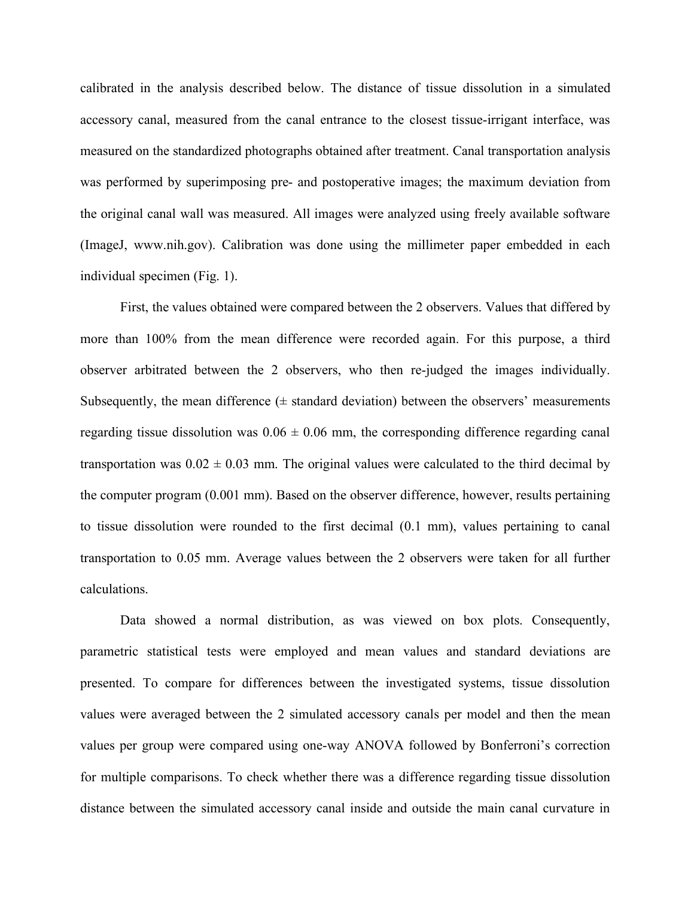calibrated in the analysis described below. The distance of tissue dissolution in a simulated accessory canal, measured from the canal entrance to the closest tissue-irrigant interface, was measured on the standardized photographs obtained after treatment. Canal transportation analysis was performed by superimposing pre- and postoperative images; the maximum deviation from the original canal wall was measured. All images were analyzed using freely available software (ImageJ, www.nih.gov). Calibration was done using the millimeter paper embedded in each individual specimen (Fig. 1).

First, the values obtained were compared between the 2 observers. Values that differed by more than 100% from the mean difference were recorded again. For this purpose, a third observer arbitrated between the 2 observers, who then re-judged the images individually. Subsequently, the mean difference  $(±$  standard deviation) between the observers' measurements regarding tissue dissolution was  $0.06 \pm 0.06$  mm, the corresponding difference regarding canal transportation was  $0.02 \pm 0.03$  mm. The original values were calculated to the third decimal by the computer program (0.001 mm). Based on the observer difference, however, results pertaining to tissue dissolution were rounded to the first decimal (0.1 mm), values pertaining to canal transportation to 0.05 mm. Average values between the 2 observers were taken for all further calculations.

Data showed a normal distribution, as was viewed on box plots. Consequently, parametric statistical tests were employed and mean values and standard deviations are presented. To compare for differences between the investigated systems, tissue dissolution values were averaged between the 2 simulated accessory canals per model and then the mean values per group were compared using one-way ANOVA followed by Bonferroni's correction for multiple comparisons. To check whether there was a difference regarding tissue dissolution distance between the simulated accessory canal inside and outside the main canal curvature in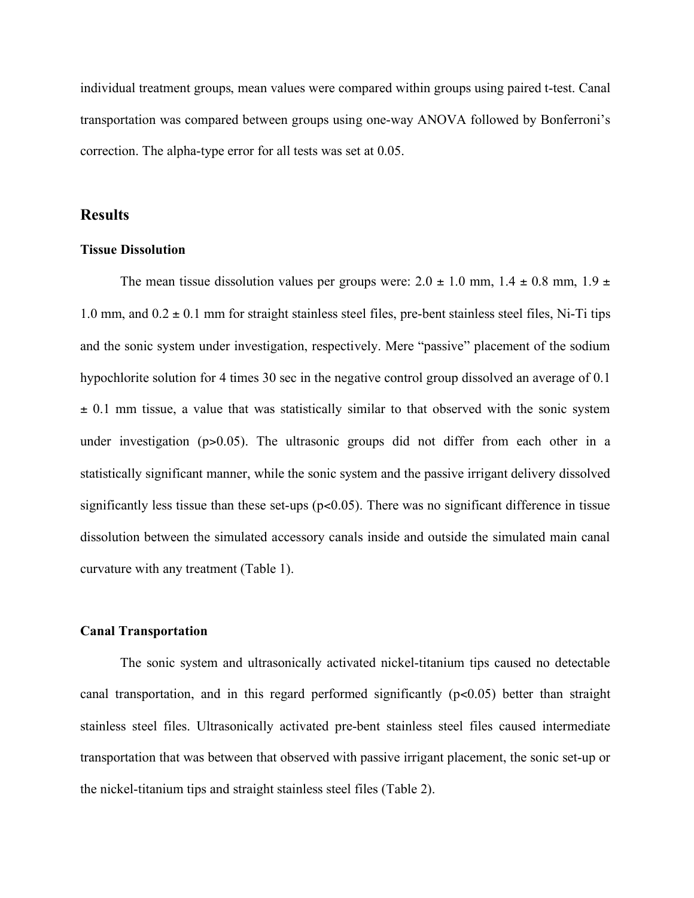individual treatment groups, mean values were compared within groups using paired t-test. Canal transportation was compared between groups using one-way ANOVA followed by Bonferroni's correction. The alpha-type error for all tests was set at 0.05.

## **Results**

#### **Tissue Dissolution**

The mean tissue dissolution values per groups were:  $2.0 \pm 1.0$  mm,  $1.4 \pm 0.8$  mm,  $1.9 \pm 1.0$ 1.0 mm, and  $0.2 \pm 0.1$  mm for straight stainless steel files, pre-bent stainless steel files, Ni-Ti tips and the sonic system under investigation, respectively. Mere "passive" placement of the sodium hypochlorite solution for 4 times 30 sec in the negative control group dissolved an average of 0.1  $\pm$  0.1 mm tissue, a value that was statistically similar to that observed with the sonic system under investigation (p>0.05). The ultrasonic groups did not differ from each other in a statistically significant manner, while the sonic system and the passive irrigant delivery dissolved significantly less tissue than these set-ups (p<0.05). There was no significant difference in tissue dissolution between the simulated accessory canals inside and outside the simulated main canal curvature with any treatment (Table 1).

#### **Canal Transportation**

The sonic system and ultrasonically activated nickel-titanium tips caused no detectable canal transportation, and in this regard performed significantly (p<0.05) better than straight stainless steel files. Ultrasonically activated pre-bent stainless steel files caused intermediate transportation that was between that observed with passive irrigant placement, the sonic set-up or the nickel-titanium tips and straight stainless steel files (Table 2).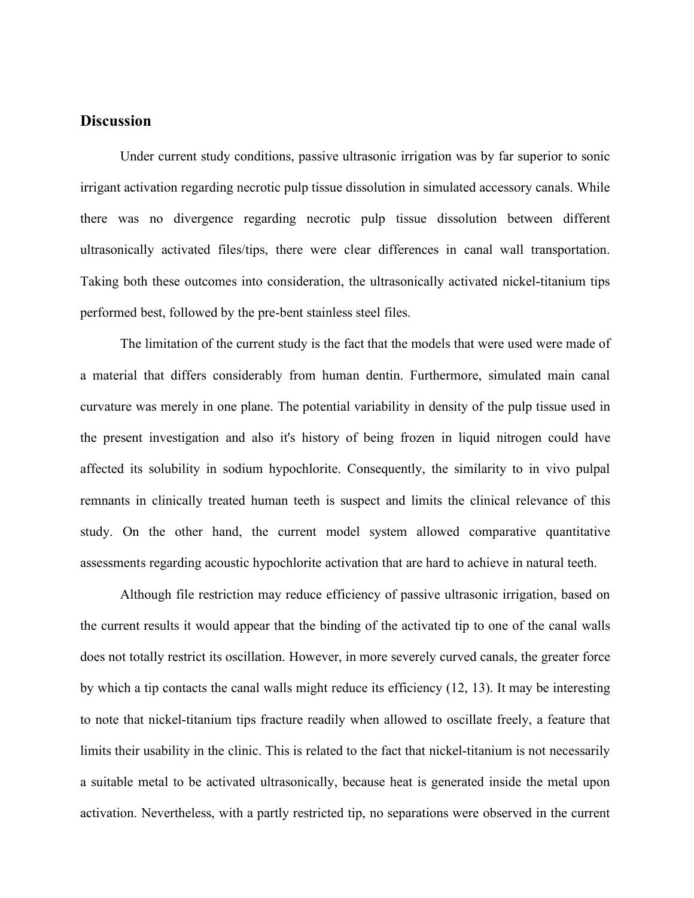## **Discussion**

Under current study conditions, passive ultrasonic irrigation was by far superior to sonic irrigant activation regarding necrotic pulp tissue dissolution in simulated accessory canals. While there was no divergence regarding necrotic pulp tissue dissolution between different ultrasonically activated files/tips, there were clear differences in canal wall transportation. Taking both these outcomes into consideration, the ultrasonically activated nickel-titanium tips performed best, followed by the pre-bent stainless steel files.

The limitation of the current study is the fact that the models that were used were made of a material that differs considerably from human dentin. Furthermore, simulated main canal curvature was merely in one plane. The potential variability in density of the pulp tissue used in the present investigation and also it's history of being frozen in liquid nitrogen could have affected its solubility in sodium hypochlorite. Consequently, the similarity to in vivo pulpal remnants in clinically treated human teeth is suspect and limits the clinical relevance of this study. On the other hand, the current model system allowed comparative quantitative assessments regarding acoustic hypochlorite activation that are hard to achieve in natural teeth.

Although file restriction may reduce efficiency of passive ultrasonic irrigation, based on the current results it would appear that the binding of the activated tip to one of the canal walls does not totally restrict its oscillation. However, in more severely curved canals, the greater force by which a tip contacts the canal walls might reduce its efficiency (12, 13). It may be interesting to note that nickel-titanium tips fracture readily when allowed to oscillate freely, a feature that limits their usability in the clinic. This is related to the fact that nickel-titanium is not necessarily a suitable metal to be activated ultrasonically, because heat is generated inside the metal upon activation. Nevertheless, with a partly restricted tip, no separations were observed in the current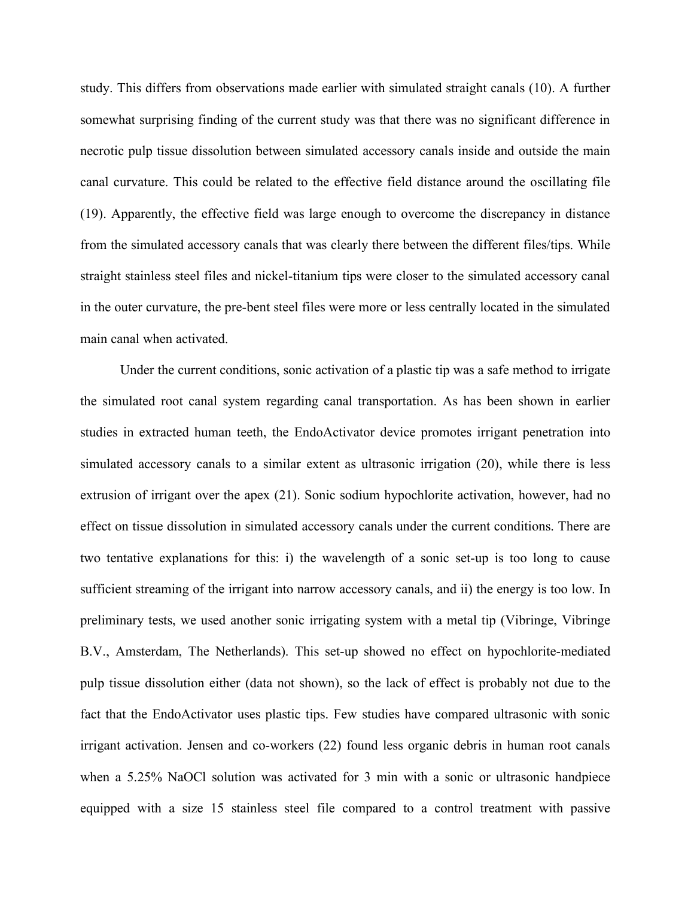study. This differs from observations made earlier with simulated straight canals (10). A further somewhat surprising finding of the current study was that there was no significant difference in necrotic pulp tissue dissolution between simulated accessory canals inside and outside the main canal curvature. This could be related to the effective field distance around the oscillating file (19). Apparently, the effective field was large enough to overcome the discrepancy in distance from the simulated accessory canals that was clearly there between the different files/tips. While straight stainless steel files and nickel-titanium tips were closer to the simulated accessory canal in the outer curvature, the pre-bent steel files were more or less centrally located in the simulated main canal when activated.

Under the current conditions, sonic activation of a plastic tip was a safe method to irrigate the simulated root canal system regarding canal transportation. As has been shown in earlier studies in extracted human teeth, the EndoActivator device promotes irrigant penetration into simulated accessory canals to a similar extent as ultrasonic irrigation (20), while there is less extrusion of irrigant over the apex (21). Sonic sodium hypochlorite activation, however, had no effect on tissue dissolution in simulated accessory canals under the current conditions. There are two tentative explanations for this: i) the wavelength of a sonic set-up is too long to cause sufficient streaming of the irrigant into narrow accessory canals, and ii) the energy is too low. In preliminary tests, we used another sonic irrigating system with a metal tip (Vibringe, Vibringe B.V., Amsterdam, The Netherlands). This set-up showed no effect on hypochlorite-mediated pulp tissue dissolution either (data not shown), so the lack of effect is probably not due to the fact that the EndoActivator uses plastic tips. Few studies have compared ultrasonic with sonic irrigant activation. Jensen and co-workers (22) found less organic debris in human root canals when a 5.25% NaOCl solution was activated for 3 min with a sonic or ultrasonic handpiece equipped with a size 15 stainless steel file compared to a control treatment with passive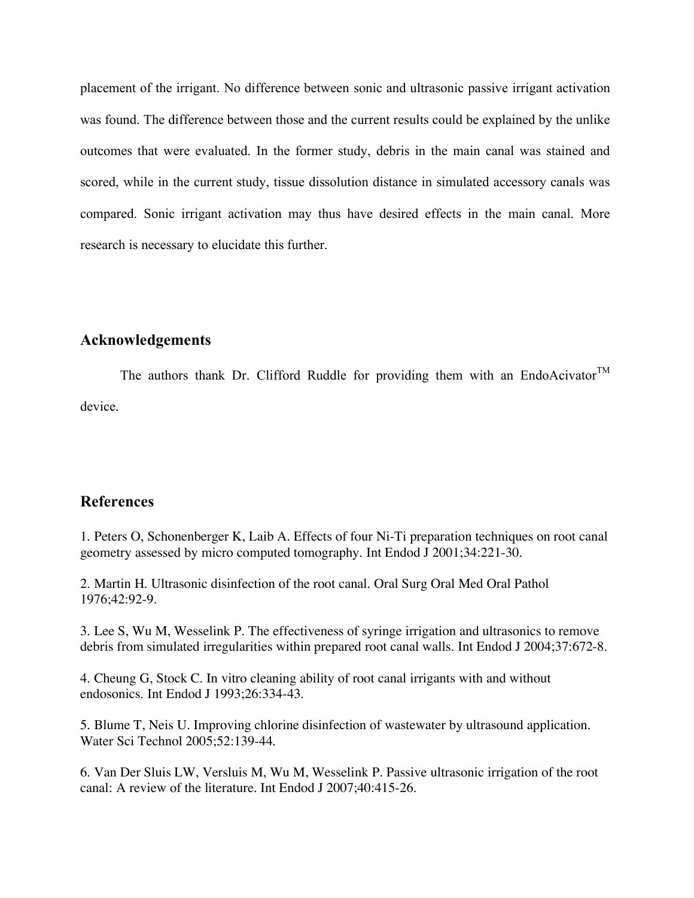placement of the irrigant. No difference between sonic and ultrasonic passive irrigant activation was found. The difference between those and the current results could be explained by the unlike outcomes that were evaluated. In the former study, debris in the main canal was stained and scored, while in the current study, tissue dissolution distance in simulated accessory canals was compared. Sonic irrigant activation may thus have desired effects in the main canal. More research is necessary to elucidate this further.

## **Acknowledgements**

The authors thank Dr. Clifford Ruddle for providing them with an EndoAcivator<sup>TM</sup> device.

## **References**

1. Peters O, Schonenberger K, Laib A. Effects of four Ni-Ti preparation techniques on root canal geometry assessed by micro computed tomography. Int Endod J 2001;34:221-30.

2. Martin H. Ultrasonic disinfection of the root canal. Oral Surg Oral Med Oral Pathol 1976;42:92-9.

3. Lee S, Wu M, Wesselink P. The effectiveness of syringe irrigation and ultrasonics to remove debris from simulated irregularities within prepared root canal walls. Int Endod J 2004;37:672-8.

4. Cheung G, Stock C. In vitro cleaning ability of root canal irrigants with and without endosonics. Int Endod J 1993;26:334-43.

5. Blume T, Neis U. Improving chlorine disinfection of wastewater by ultrasound application. Water Sci Technol 2005;52:139-44.

6. Van Der Sluis LW, Versluis M, Wu M, Wesselink P. Passive ultrasonic irrigation of the root canal: A review of the literature. Int Endod J 2007;40:415-26.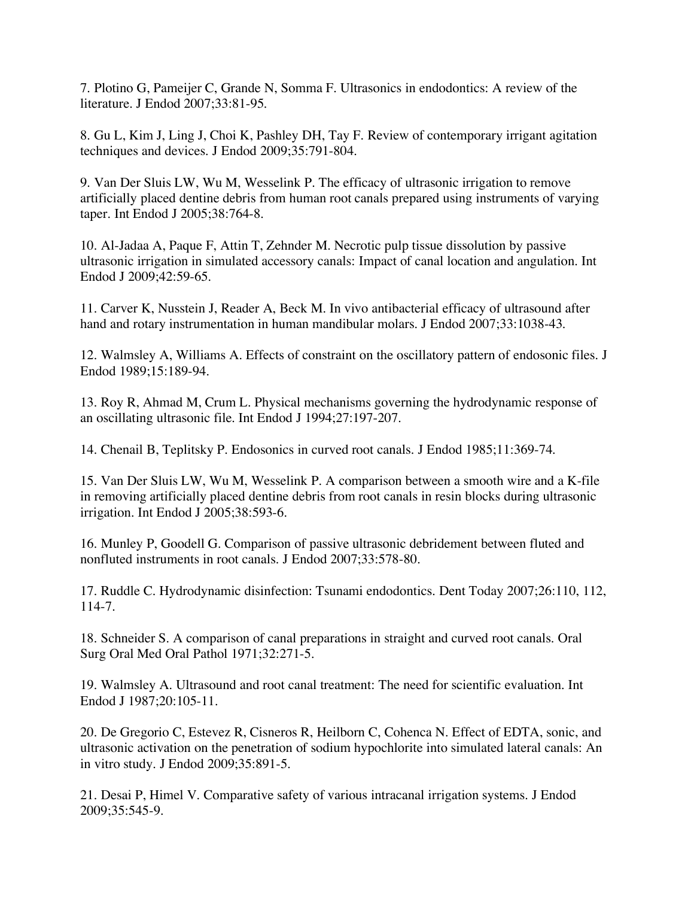7. Plotino G, Pameijer C, Grande N, Somma F. Ultrasonics in endodontics: A review of the literature. J Endod 2007;33:81-95.

8. Gu L, Kim J, Ling J, Choi K, Pashley DH, Tay F. Review of contemporary irrigant agitation techniques and devices. J Endod 2009;35:791-804.

9. Van Der Sluis LW, Wu M, Wesselink P. The efficacy of ultrasonic irrigation to remove artificially placed dentine debris from human root canals prepared using instruments of varying taper. Int Endod J 2005;38:764-8.

10. Al-Jadaa A, Paque F, Attin T, Zehnder M. Necrotic pulp tissue dissolution by passive ultrasonic irrigation in simulated accessory canals: Impact of canal location and angulation. Int Endod J 2009;42:59-65.

11. Carver K, Nusstein J, Reader A, Beck M. In vivo antibacterial efficacy of ultrasound after hand and rotary instrumentation in human mandibular molars. J Endod 2007;33:1038-43.

12. Walmsley A, Williams A. Effects of constraint on the oscillatory pattern of endosonic files. J Endod 1989;15:189-94.

13. Roy R, Ahmad M, Crum L. Physical mechanisms governing the hydrodynamic response of an oscillating ultrasonic file. Int Endod J 1994;27:197-207.

14. Chenail B, Teplitsky P. Endosonics in curved root canals. J Endod 1985;11:369-74.

15. Van Der Sluis LW, Wu M, Wesselink P. A comparison between a smooth wire and a K-file in removing artificially placed dentine debris from root canals in resin blocks during ultrasonic irrigation. Int Endod J 2005;38:593-6.

16. Munley P, Goodell G. Comparison of passive ultrasonic debridement between fluted and nonfluted instruments in root canals. J Endod 2007;33:578-80.

17. Ruddle C. Hydrodynamic disinfection: Tsunami endodontics. Dent Today 2007;26:110, 112, 114-7.

18. Schneider S. A comparison of canal preparations in straight and curved root canals. Oral Surg Oral Med Oral Pathol 1971;32:271-5.

19. Walmsley A. Ultrasound and root canal treatment: The need for scientific evaluation. Int Endod J 1987;20:105-11.

20. De Gregorio C, Estevez R, Cisneros R, Heilborn C, Cohenca N. Effect of EDTA, sonic, and ultrasonic activation on the penetration of sodium hypochlorite into simulated lateral canals: An in vitro study. J Endod 2009;35:891-5.

21. Desai P, Himel V. Comparative safety of various intracanal irrigation systems. J Endod 2009;35:545-9.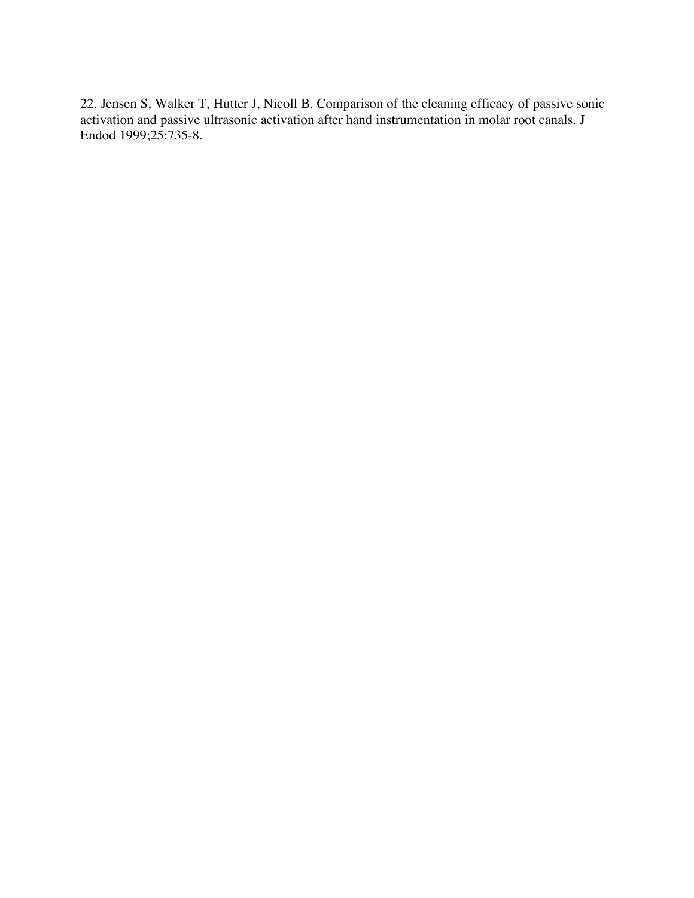22. Jensen S, Walker T, Hutter J, Nicoll B. Comparison of the cleaning efficacy of passive sonic activation and passive ultrasonic activation after hand instrumentation in molar root canals. J Endod 1999;25:735-8.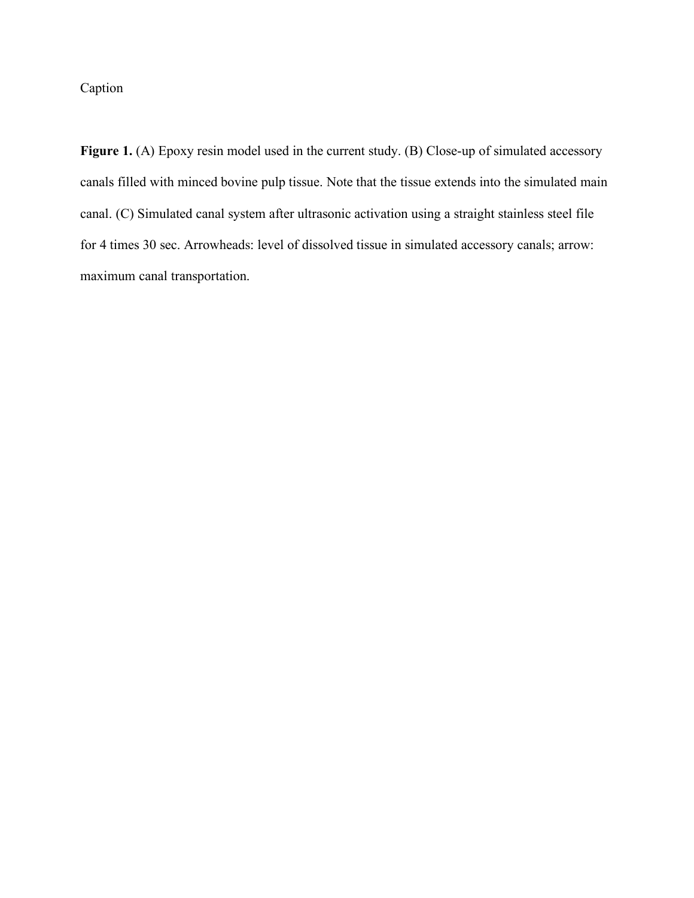### Caption

Figure 1. (A) Epoxy resin model used in the current study. (B) Close-up of simulated accessory canals filled with minced bovine pulp tissue. Note that the tissue extends into the simulated main canal. (C) Simulated canal system after ultrasonic activation using a straight stainless steel file for 4 times 30 sec. Arrowheads: level of dissolved tissue in simulated accessory canals; arrow: maximum canal transportation.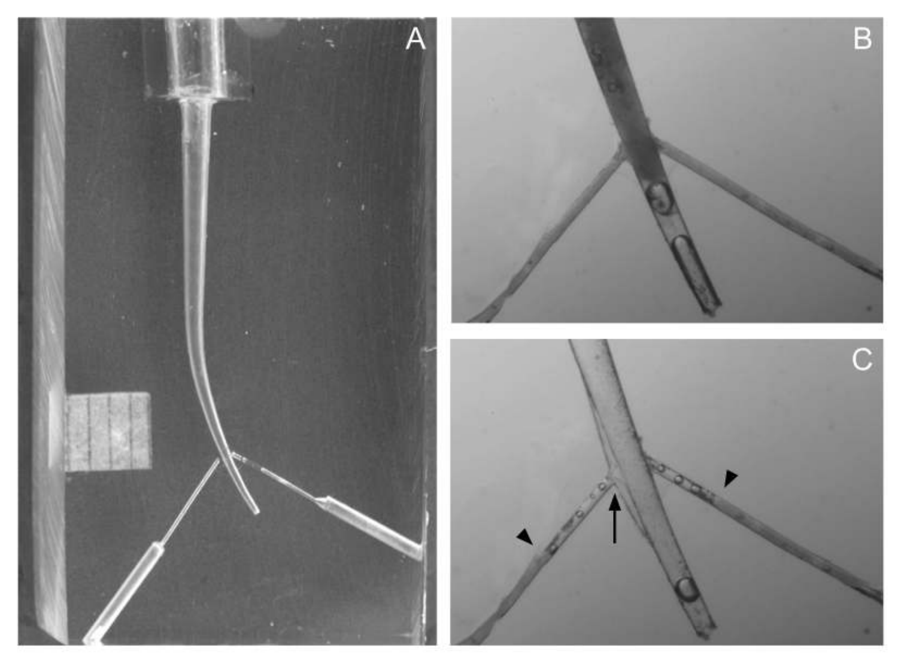

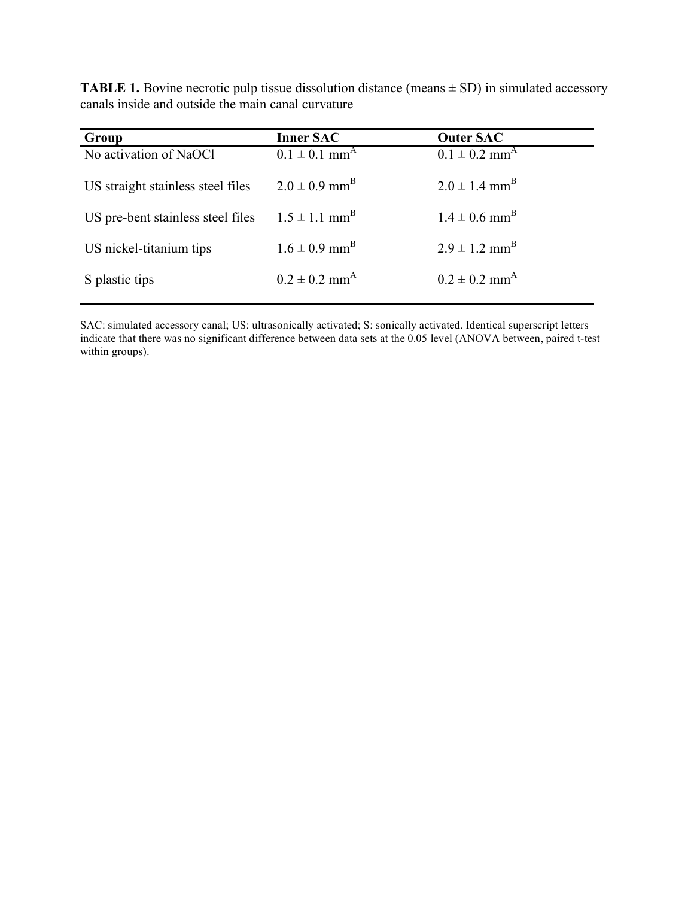| Group                             | <b>Inner SAC</b>              | <b>Outer SAC</b>              |
|-----------------------------------|-------------------------------|-------------------------------|
| No activation of NaOCl            | $0.1 \pm 0.1$ mm <sup>A</sup> | $0.1 \pm 0.2$ mm <sup>A</sup> |
| US straight stainless steel files | $2.0 \pm 0.9$ mm <sup>B</sup> | $2.0 \pm 1.4$ mm <sup>B</sup> |
| US pre-bent stainless steel files | $1.5 \pm 1.1$ mm <sup>B</sup> | $1.4 \pm 0.6$ mm <sup>B</sup> |
| US nickel-titanium tips           | $1.6 \pm 0.9$ mm <sup>B</sup> | $2.9 \pm 1.2$ mm <sup>B</sup> |
| S plastic tips                    | $0.2 \pm 0.2$ mm <sup>A</sup> | $0.2 \pm 0.2$ mm <sup>A</sup> |

**TABLE 1.** Bovine necrotic pulp tissue dissolution distance (means ± SD) in simulated accessory canals inside and outside the main canal curvature

SAC: simulated accessory canal; US: ultrasonically activated; S: sonically activated. Identical superscript letters indicate that there was no significant difference between data sets at the 0.05 level (ANOVA between, paired t-test within groups).